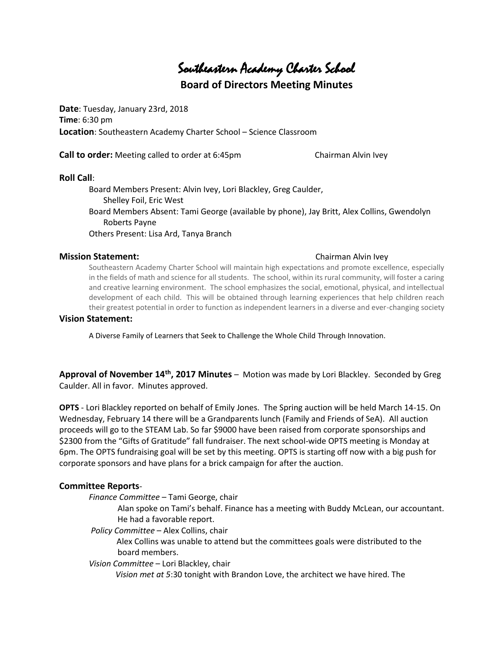# Southeastern Academy Charter School

## **Board of Directors Meeting Minutes**

**Date**: Tuesday, January 23rd, 2018 **Time**: 6:30 pm **Location**: Southeastern Academy Charter School – Science Classroom

**Call to order:** Meeting called to order at 6:45pm Chairman Alvin Ivey

### **Roll Call**:

Board Members Present: Alvin Ivey, Lori Blackley, Greg Caulder, Shelley Foil, Eric West Board Members Absent: Tami George (available by phone), Jay Britt, Alex Collins, Gwendolyn Roberts Payne Others Present: Lisa Ard, Tanya Branch

#### **Mission Statement:** Chairman Alvin Ivey

Southeastern Academy Charter School will maintain high expectations and promote excellence, especially in the fields of math and science for all students. The school, within its rural community, will foster a caring and creative learning environment. The school emphasizes the social, emotional, physical, and intellectual development of each child. This will be obtained through learning experiences that help children reach their greatest potential in order to function as independent learners in a diverse and ever-changing society

### **Vision Statement:**

A Diverse Family of Learners that Seek to Challenge the Whole Child Through Innovation.

**Approval of November 14th, 2017 Minutes** – Motion was made by Lori Blackley. Seconded by Greg Caulder. All in favor. Minutes approved.

**OPTS** - Lori Blackley reported on behalf of Emily Jones. The Spring auction will be held March 14-15. On Wednesday, February 14 there will be a Grandparents lunch (Family and Friends of SeA). All auction proceeds will go to the STEAM Lab. So far \$9000 have been raised from corporate sponsorships and \$2300 from the "Gifts of Gratitude" fall fundraiser. The next school-wide OPTS meeting is Monday at 6pm. The OPTS fundraising goal will be set by this meeting. OPTS is starting off now with a big push for corporate sponsors and have plans for a brick campaign for after the auction.

### **Committee Reports**-

*Finance Committee* – Tami George, chair

Alan spoke on Tami's behalf. Finance has a meeting with Buddy McLean, our accountant. He had a favorable report.

*Policy Committee* – Alex Collins, chair

 Alex Collins was unable to attend but the committees goals were distributed to the board members.

### *Vision Committee* – Lori Blackley, chair

 *Vision met at 5*:30 tonight with Brandon Love, the architect we have hired. The